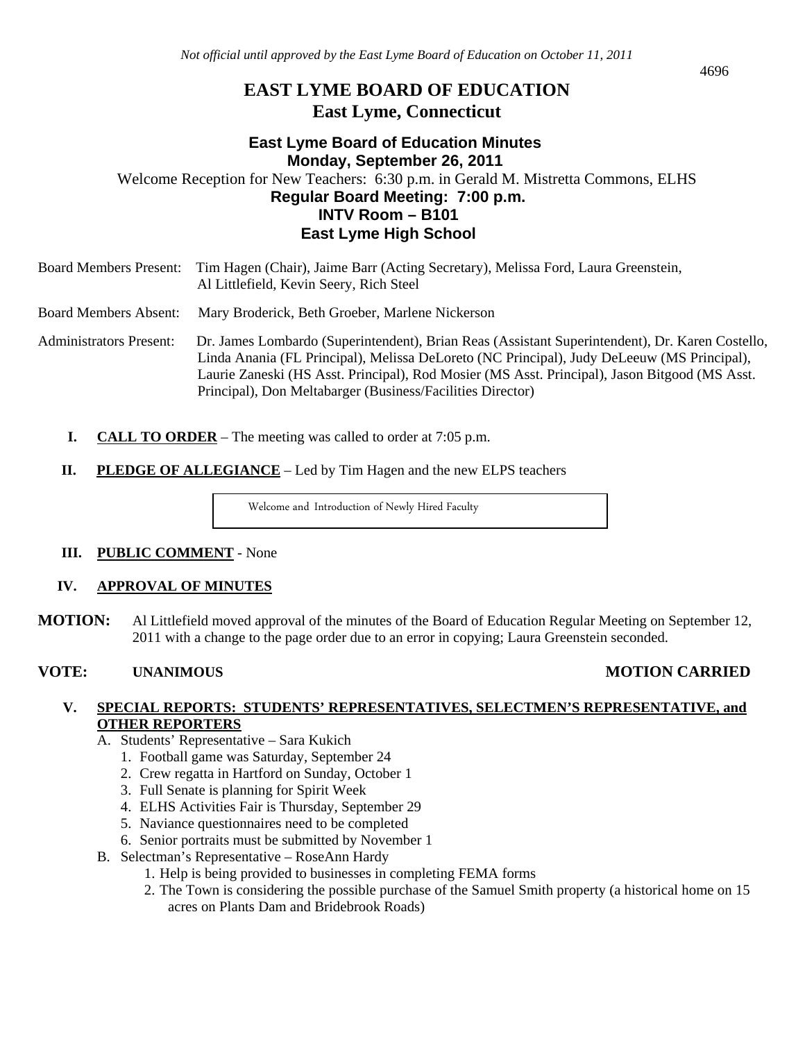# **EAST LYME BOARD OF EDUCATION East Lyme, Connecticut**

# **East Lyme Board of Education Minutes Monday, September 26, 2011**  Welcome Reception for New Teachers: 6:30 p.m. in Gerald M. Mistretta Commons, ELHS **Regular Board Meeting: 7:00 p.m.**

# **INTV Room – B101 East Lyme High School**

| <b>Board Members Present:</b>  | Tim Hagen (Chair), Jaime Barr (Acting Secretary), Melissa Ford, Laura Greenstein,<br>Al Littlefield, Kevin Seery, Rich Steel                                                                                                                                                                                                                                 |
|--------------------------------|--------------------------------------------------------------------------------------------------------------------------------------------------------------------------------------------------------------------------------------------------------------------------------------------------------------------------------------------------------------|
| <b>Board Members Absent:</b>   | Mary Broderick, Beth Groeber, Marlene Nickerson                                                                                                                                                                                                                                                                                                              |
| <b>Administrators Present:</b> | Dr. James Lombardo (Superintendent), Brian Reas (Assistant Superintendent), Dr. Karen Costello,<br>Linda Anania (FL Principal), Melissa DeLoreto (NC Principal), Judy DeLeeuw (MS Principal),<br>Laurie Zaneski (HS Asst. Principal), Rod Mosier (MS Asst. Principal), Jason Bitgood (MS Asst.<br>Principal), Don Meltabarger (Business/Facilities Director) |

- **I. CALL TO ORDER** The meeting was called to order at 7:05 p.m.
- **II.** PLEDGE OF ALLEGIANCE Led by Tim Hagen and the new ELPS teachers

Welcome and Introduction of Newly Hired Faculty

#### **III. PUBLIC COMMENT** - None

#### **IV. APPROVAL OF MINUTES**

**MOTION:** Al Littlefield moved approval of the minutes of the Board of Education Regular Meeting on September 12, 2011 with a change to the page order due to an error in copying; Laura Greenstein seconded.

# **VOTE: UNANIMOUS MOTION CARRIED**

#### **V. SPECIAL REPORTS: STUDENTS' REPRESENTATIVES, SELECTMEN'S REPRESENTATIVE, and OTHER REPORTERS**

- A. Students' Representative Sara Kukich
	- 1. Football game was Saturday, September 24
	- 2. Crew regatta in Hartford on Sunday, October 1
	- 3. Full Senate is planning for Spirit Week
	- 4. ELHS Activities Fair is Thursday, September 29
	- 5. Naviance questionnaires need to be completed
	- 6. Senior portraits must be submitted by November 1
- B. Selectman's Representative RoseAnn Hardy
	- 1. Help is being provided to businesses in completing FEMA forms
	- 2. The Town is considering the possible purchase of the Samuel Smith property (a historical home on 15 acres on Plants Dam and Bridebrook Roads)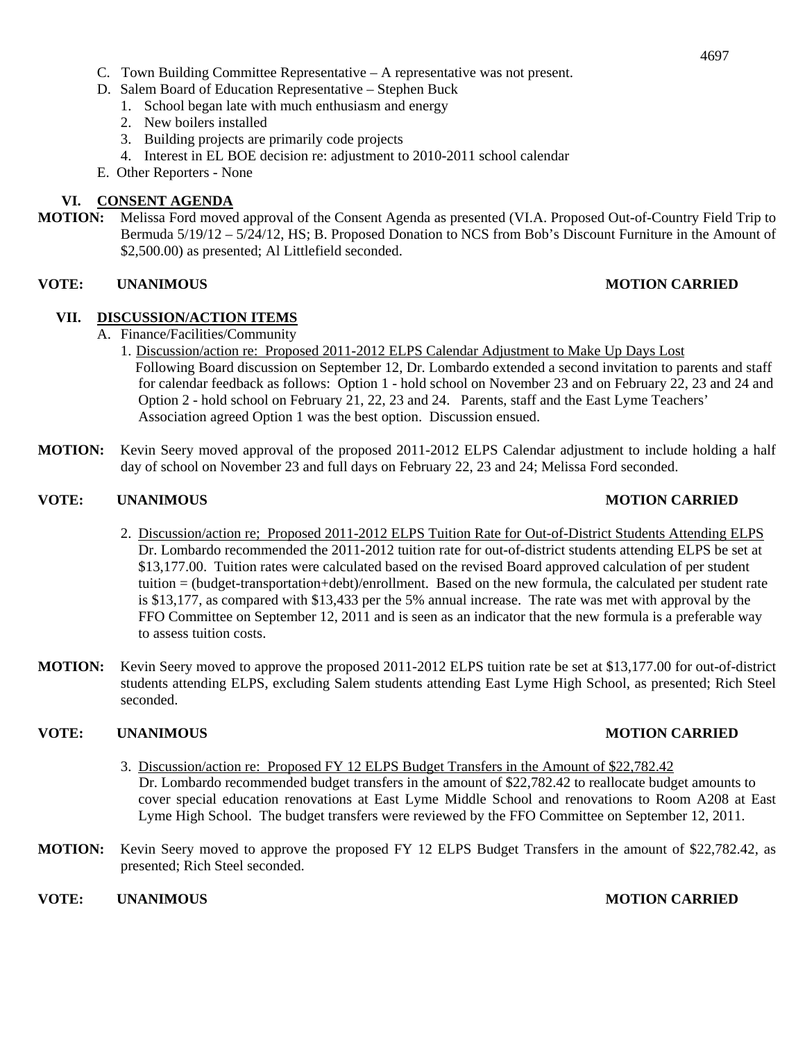- D. Salem Board of Education Representative Stephen Buck
	- 1. School began late with much enthusiasm and energy
	- 2. New boilers installed
	- 3. Building projects are primarily code projects
	- 4. Interest in EL BOE decision re: adjustment to 2010-2011 school calendar
- E. Other Reporters None

#### **VI. CONSENT AGENDA**

**MOTION:** Melissa Ford moved approval of the Consent Agenda as presented (VI.A. Proposed Out-of-Country Field Trip to Bermuda 5/19/12 – 5/24/12, HS; B. Proposed Donation to NCS from Bob's Discount Furniture in the Amount of \$2,500.00) as presented; Al Littlefield seconded.

#### **VOTE: UNANIMOUS MOTION CARRIED**

#### **VII. DISCUSSION/ACTION ITEMS**

- A. Finance/Facilities/Community
	- 1. Discussion/action re: Proposed 2011-2012 ELPS Calendar Adjustment to Make Up Days Lost Following Board discussion on September 12, Dr. Lombardo extended a second invitation to parents and staff for calendar feedback as follows: Option 1 - hold school on November 23 and on February 22, 23 and 24 and Option 2 - hold school on February 21, 22, 23 and 24. Parents, staff and the East Lyme Teachers' Association agreed Option 1 was the best option. Discussion ensued.
- **MOTION:** Kevin Seery moved approval of the proposed 2011-2012 ELPS Calendar adjustment to include holding a half day of school on November 23 and full days on February 22, 23 and 24; Melissa Ford seconded.

#### **VOTE: UNANIMOUS MOTION CARRIED**

- 2. Discussion/action re; Proposed 2011-2012 ELPS Tuition Rate for Out-of-District Students Attending ELPS Dr. Lombardo recommended the 2011-2012 tuition rate for out-of-district students attending ELPS be set at \$13,177.00. Tuition rates were calculated based on the revised Board approved calculation of per student tuition = (budget-transportation+debt)/enrollment. Based on the new formula, the calculated per student rate is \$13,177, as compared with \$13,433 per the 5% annual increase. The rate was met with approval by the FFO Committee on September 12, 2011 and is seen as an indicator that the new formula is a preferable way to assess tuition costs.
- **MOTION:** Kevin Seery moved to approve the proposed 2011-2012 ELPS tuition rate be set at \$13,177.00 for out-of-district students attending ELPS, excluding Salem students attending East Lyme High School, as presented; Rich Steel seconded.

#### **VOTE: UNANIMOUS MOTION CARRIED**

- 3. Discussion/action re: Proposed FY 12 ELPS Budget Transfers in the Amount of \$22,782.42 Dr. Lombardo recommended budget transfers in the amount of \$22,782.42 to reallocate budget amounts to cover special education renovations at East Lyme Middle School and renovations to Room A208 at East Lyme High School. The budget transfers were reviewed by the FFO Committee on September 12, 2011.
- **MOTION:** Kevin Seery moved to approve the proposed FY 12 ELPS Budget Transfers in the amount of \$22,782.42, as presented; Rich Steel seconded.

**VOTE: UNANIMOUS MOTION CARRIED**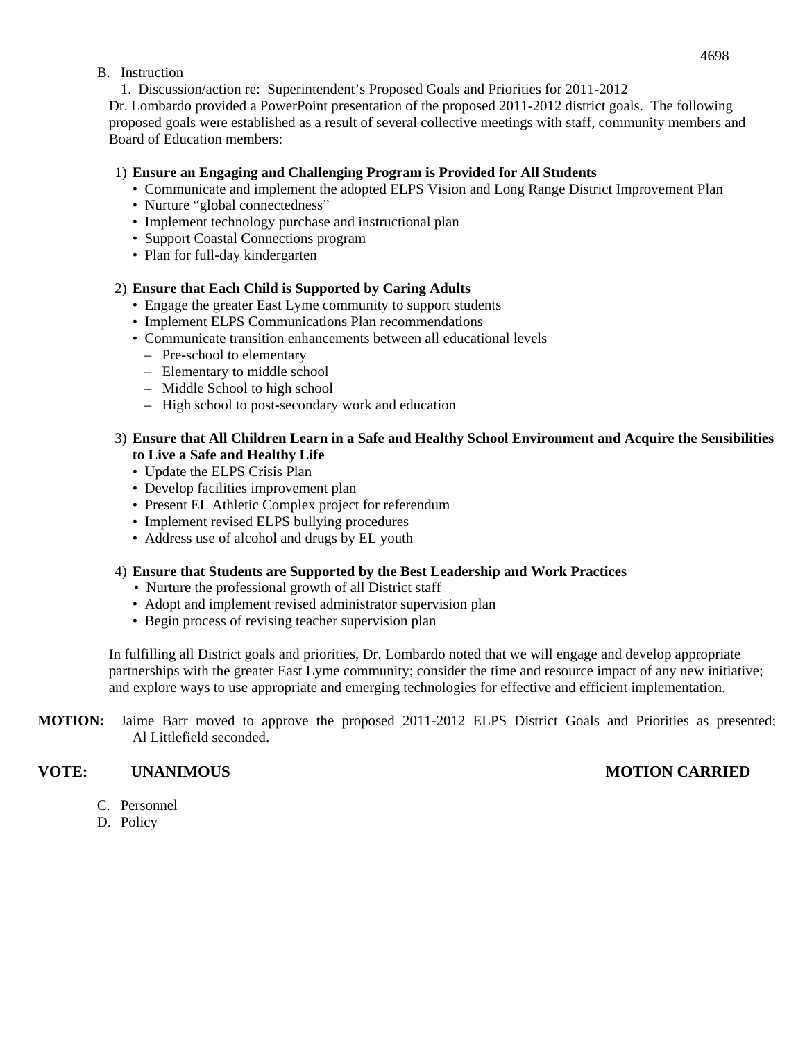### B. Instruction

1. Discussion/action re: Superintendent's Proposed Goals and Priorities for 2011-2012

Dr. Lombardo provided a PowerPoint presentation of the proposed 2011-2012 district goals. The following proposed goals were established as a result of several collective meetings with staff, community members and Board of Education members:

#### 1) **Ensure an Engaging and Challenging Program is Provided for All Students**

- Communicate and implement the adopted ELPS Vision and Long Range District Improvement Plan
- Nurture "global connectedness"
- Implement technology purchase and instructional plan
- Support Coastal Connections program
- Plan for full-day kindergarten

#### 2) **Ensure that Each Child is Supported by Caring Adults**

- Engage the greater East Lyme community to support students
- Implement ELPS Communications Plan recommendations
- Communicate transition enhancements between all educational levels
	- Pre-school to elementary
	- Elementary to middle school
	- Middle School to high school
	- High school to post-secondary work and education

#### 3) **Ensure that All Children Learn in a Safe and Healthy School Environment and Acquire the Sensibilities to Live a Safe and Healthy Life**

- Update the ELPS Crisis Plan
- Develop facilities improvement plan
- Present EL Athletic Complex project for referendum
- Implement revised ELPS bullying procedures
- Address use of alcohol and drugs by EL youth

# 4) **Ensure that Students are Supported by the Best Leadership and Work Practices**

- Nurture the professional growth of all District staff
- Adopt and implement revised administrator supervision plan
- Begin process of revising teacher supervision plan

In fulfilling all District goals and priorities, Dr. Lombardo noted that we will engage and develop appropriate partnerships with the greater East Lyme community; consider the time and resource impact of any new initiative; and explore ways to use appropriate and emerging technologies for effective and efficient implementation.

**MOTION:** Jaime Barr moved to approve the proposed 2011-2012 ELPS District Goals and Priorities as presented; Al Littlefield seconded.

# **VOTE: UNANIMOUS MOTION CARRIED**

- C. Personnel
- D. Policy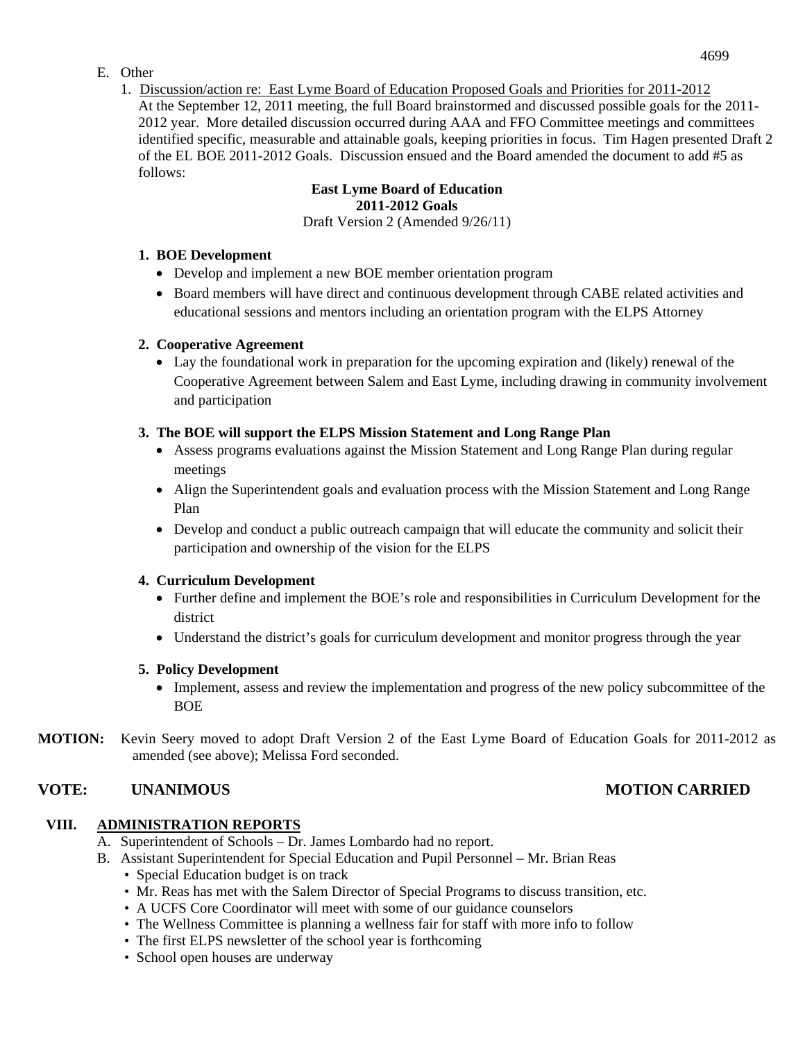# E. Other

1. Discussion/action re: East Lyme Board of Education Proposed Goals and Priorities for 2011-2012 At the September 12, 2011 meeting, the full Board brainstormed and discussed possible goals for the 2011- 2012 year. More detailed discussion occurred during AAA and FFO Committee meetings and committees identified specific, measurable and attainable goals, keeping priorities in focus. Tim Hagen presented Draft 2 of the EL BOE 2011-2012 Goals. Discussion ensued and the Board amended the document to add #5 as follows:

# **East Lyme Board of Education 2011-2012 Goals**

Draft Version 2 (Amended 9/26/11)

## **1. BOE Development**

- Develop and implement a new BOE member orientation program
- Board members will have direct and continuous development through CABE related activities and educational sessions and mentors including an orientation program with the ELPS Attorney

#### **2. Cooperative Agreement**

 Lay the foundational work in preparation for the upcoming expiration and (likely) renewal of the Cooperative Agreement between Salem and East Lyme, including drawing in community involvement and participation

# **3. The BOE will support the ELPS Mission Statement and Long Range Plan**

- Assess programs evaluations against the Mission Statement and Long Range Plan during regular meetings
- Align the Superintendent goals and evaluation process with the Mission Statement and Long Range Plan
- Develop and conduct a public outreach campaign that will educate the community and solicit their participation and ownership of the vision for the ELPS

# **4. Curriculum Development**

- Further define and implement the BOE's role and responsibilities in Curriculum Development for the district
- Understand the district's goals for curriculum development and monitor progress through the year

# **5. Policy Development**

- Implement, assess and review the implementation and progress of the new policy subcommittee of the **BOE**
- **MOTION:** Kevin Seery moved to adopt Draft Version 2 of the East Lyme Board of Education Goals for 2011-2012 as amended (see above); Melissa Ford seconded.

# **VOTE: UNANIMOUS MOTION CARRIED**

# **VIII. ADMINISTRATION REPORTS**

- A. Superintendent of Schools Dr. James Lombardo had no report.
- B. Assistant Superintendent for Special Education and Pupil Personnel Mr. Brian Reas
	- Special Education budget is on track
	- Mr. Reas has met with the Salem Director of Special Programs to discuss transition, etc.
	- A UCFS Core Coordinator will meet with some of our guidance counselors
	- The Wellness Committee is planning a wellness fair for staff with more info to follow
	- The first ELPS newsletter of the school year is forthcoming
	- School open houses are underway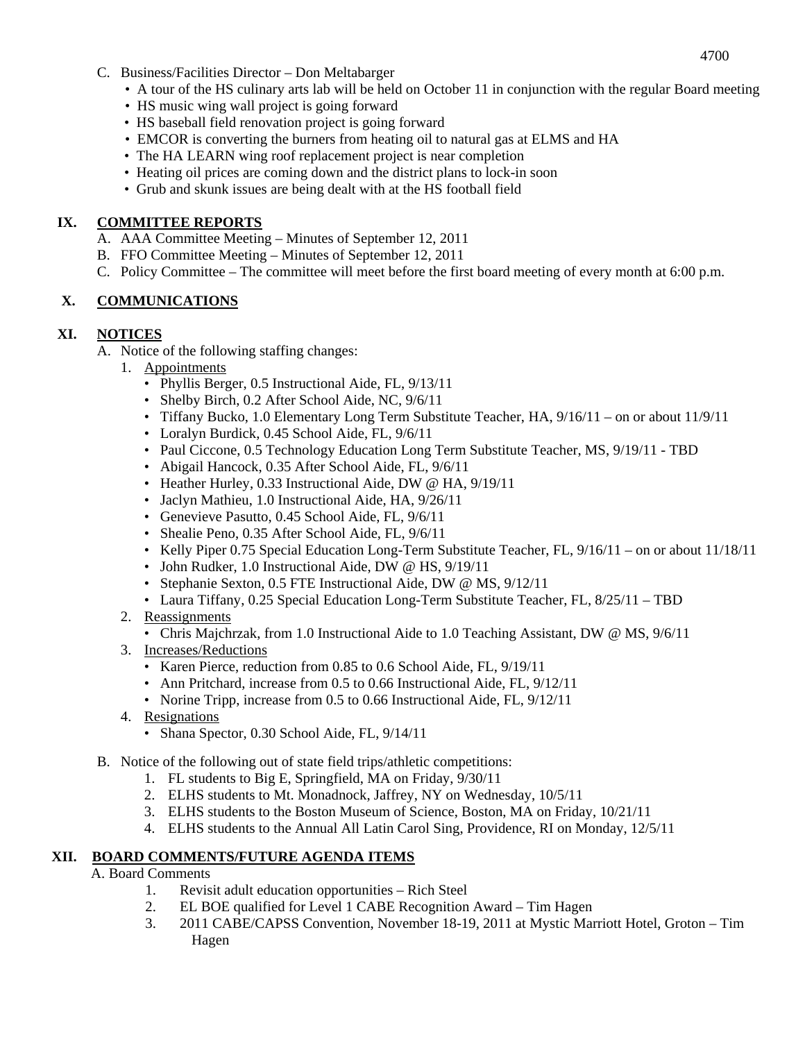- 4700
- C. Business/Facilities Director Don Meltabarger
	- A tour of the HS culinary arts lab will be held on October 11 in conjunction with the regular Board meeting
	- HS music wing wall project is going forward
	- HS baseball field renovation project is going forward
	- EMCOR is converting the burners from heating oil to natural gas at ELMS and HA
	- The HA LEARN wing roof replacement project is near completion
	- Heating oil prices are coming down and the district plans to lock-in soon
	- Grub and skunk issues are being dealt with at the HS football field

#### **IX. COMMITTEE REPORTS**

- A. AAA Committee Meeting Minutes of September 12, 2011
- B. FFO Committee Meeting Minutes of September 12, 2011
- C. Policy Committee The committee will meet before the first board meeting of every month at 6:00 p.m.

# **X. COMMUNICATIONS**

#### **XI. NOTICES**

- A. Notice of the following staffing changes:
	- 1. Appointments
		- Phyllis Berger, 0.5 Instructional Aide, FL, 9/13/11
		- Shelby Birch, 0.2 After School Aide, NC,  $9/6/11$
		- Tiffany Bucko, 1.0 Elementary Long Term Substitute Teacher, HA, 9/16/11 on or about 11/9/11
		- Loralyn Burdick, 0.45 School Aide, FL, 9/6/11
		- Paul Ciccone, 0.5 Technology Education Long Term Substitute Teacher, MS, 9/19/11 TBD
		- Abigail Hancock, 0.35 After School Aide, FL, 9/6/11
		- Heather Hurley, 0.33 Instructional Aide, DW @ HA, 9/19/11
		- Jaclyn Mathieu, 1.0 Instructional Aide, HA, 9/26/11
		- Genevieve Pasutto, 0.45 School Aide, FL, 9/6/11
		- Shealie Peno, 0.35 After School Aide, FL,  $9/6/11$
		- Kelly Piper 0.75 Special Education Long-Term Substitute Teacher, FL, 9/16/11 on or about 11/18/11
		- John Rudker, 1.0 Instructional Aide, DW @ HS, 9/19/11
		- Stephanie Sexton, 0.5 FTE Instructional Aide, DW @ MS, 9/12/11
		- Laura Tiffany, 0.25 Special Education Long-Term Substitute Teacher, FL, 8/25/11 TBD
	- 2. Reassignments
		- Chris Majchrzak, from 1.0 Instructional Aide to 1.0 Teaching Assistant, DW @ MS, 9/6/11
	- 3. Increases/Reductions
		- Karen Pierce, reduction from 0.85 to 0.6 School Aide, FL, 9/19/11
		- Ann Pritchard, increase from 0.5 to 0.66 Instructional Aide, FL,  $9/12/11$
		- Norine Tripp, increase from 0.5 to 0.66 Instructional Aide, FL,  $9/12/11$
	- 4. Resignations
		- Shana Spector, 0.30 School Aide, FL,  $9/14/11$
- B. Notice of the following out of state field trips/athletic competitions:
	- 1. FL students to Big E, Springfield, MA on Friday, 9/30/11
	- 2. ELHS students to Mt. Monadnock, Jaffrey, NY on Wednesday, 10/5/11
	- 3. ELHS students to the Boston Museum of Science, Boston, MA on Friday, 10/21/11
	- 4. ELHS students to the Annual All Latin Carol Sing, Providence, RI on Monday, 12/5/11

# **XII. BOARD COMMENTS/FUTURE AGENDA ITEMS**

#### A. Board Comments

- 1. Revisit adult education opportunities Rich Steel
- 2. EL BOE qualified for Level 1 CABE Recognition Award Tim Hagen
- 3. 2011 CABE/CAPSS Convention, November 18-19, 2011 at Mystic Marriott Hotel, Groton Tim Hagen